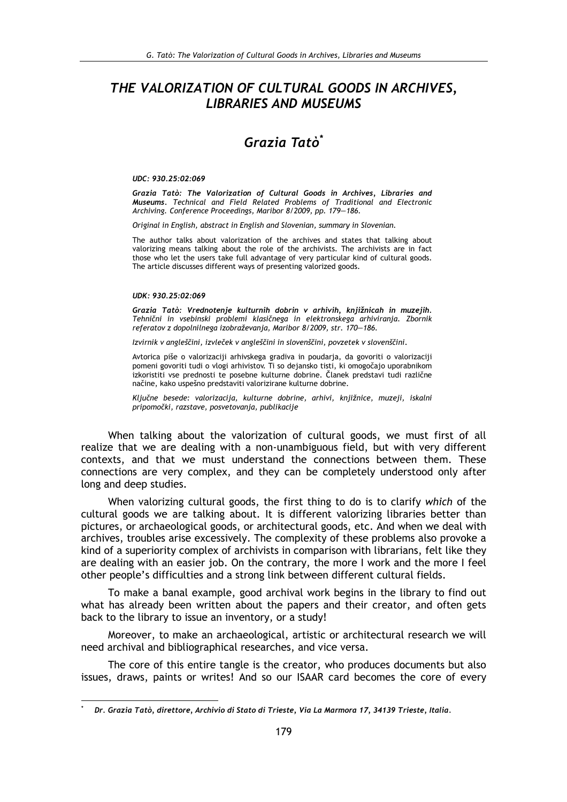## THE VALORIZATION OF CULTURAL GOODS IN ARCHIVES, **LIBRARIES AND MUSEUMS**

# Grazia Tatà<sup>\*</sup>

#### UDC: 930.25:02:069

Grazia Tatò: The Valorization of Cultural Goods in Archives, Libraries and Museums. Technical and Field Related Problems of Traditional and Electronic Archiving. Conference Proceedings, Maribor 8/2009, pp. 179-186.

Original in English, abstract in English and Slovenian, summary in Slovenian.

The author talks about valorization of the archives and states that talking about valorizing means talking about the role of the archivists. The archivists are in fact those who let the users take full advantage of very particular kind of cultural goods. The article discusses different ways of presenting valorized goods.

#### UDK: 930.25:02:069

Grazia Tatò: Vrednotenie kulturnih dobrin v arhivih, kniižnicah in muzeiih. Tehnični in vsebinski problemi klasičnega in elektronskega arhiviranja. Zbornik referatov z dopolnilnega izobraževanja, Maribor 8/2009, str. 170-186.

Izvirnik v angleščini, izvleček v angleščini in slovenščini, povzetek v slovenščini.

Avtorica piše o valorizaciji arhivskega gradiva in poudarja, da govoriti o valorizaciji pomeni govoriti tudi o vlogi arhivistov. Ti so dejansko tisti, ki omogočajo uporabnikom izkoristiti vse prednosti te posebne kulturne dobrine. Članek predstavi tudi različne načine, kako uspešno predstaviti valorizirane kulturne dobrine.

Ključne besede: valorizacija, kulturne dobrine, arhivi, knjižnice, muzeji, iskalni pripomočki, razstave, posvetovanja, publikacije

When talking about the valorization of cultural goods, we must first of all realize that we are dealing with a non-unambiguous field, but with very different contexts, and that we must understand the connections between them. These connections are very complex, and they can be completely understood only after long and deep studies.

When valorizing cultural goods, the first thing to do is to clarify which of the cultural goods we are talking about. It is different valorizing libraries better than pictures, or archaeological goods, or architectural goods, etc. And when we deal with archives, troubles arise excessively. The complexity of these problems also provoke a kind of a superiority complex of archivists in comparison with librarians, felt like they are dealing with an easier job. On the contrary, the more I work and the more I feel other people's difficulties and a strong link between different cultural fields.

To make a banal example, good archival work begins in the library to find out what has already been written about the papers and their creator, and often gets back to the library to issue an inventory, or a study!

Moreover, to make an archaeological, artistic or architectural research we will need archival and bibliographical researches, and vice versa.

The core of this entire tangle is the creator, who produces documents but also issues, draws, paints or writes! And so our ISAAR card becomes the core of every

Dr. Grazia Tatò, direttore, Archivio di Stato di Trieste, Via La Marmora 17, 34139 Trieste, Italia.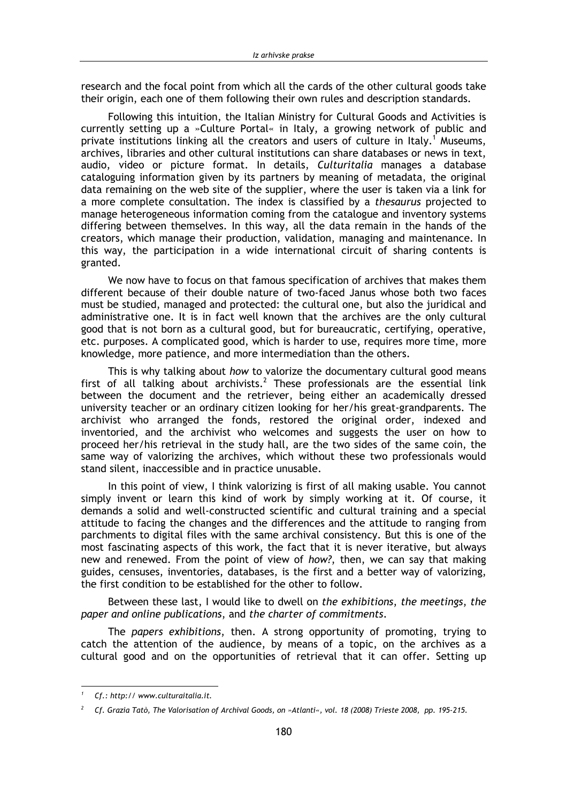research and the focal point from which all the cards of the other cultural goods take their origin, each one of them following their own rules and description standards.

Following this intuition, the Italian Ministry for Cultural Goods and Activities is currently setting up a »Culture Portal« in Italy, a growing network of public and private institutions linking all the creators and users of culture in Italy.<sup>1</sup> Museums, archives, libraries and other cultural institutions can share databases or news in text, audio, video or picture format. In details, Culturitalia manages a database cataloguing information given by its partners by meaning of metadata, the original data remaining on the web site of the supplier, where the user is taken via a link for a more complete consultation. The index is classified by a thesaurus projected to manage heterogeneous information coming from the catalogue and inventory systems differing between themselves. In this way, all the data remain in the hands of the creators, which manage their production, validation, managing and maintenance. In this way, the participation in a wide international circuit of sharing contents is granted.

We now have to focus on that famous specification of archives that makes them different because of their double nature of two-faced Janus whose both two faces must be studied, managed and protected: the cultural one, but also the juridical and administrative one. It is in fact well known that the archives are the only cultural good that is not born as a cultural good, but for bureaucratic, certifying, operative, etc. purposes. A complicated good, which is harder to use, requires more time, more knowledge, more patience, and more intermediation than the others.

This is why talking about how to valorize the documentary cultural good means first of all talking about archivists.<sup>2</sup> These professionals are the essential link between the document and the retriever, being either an academically dressed university teacher or an ordinary citizen looking for her/his great-grandparents. The archivist who arranged the fonds, restored the original order, indexed and inventoried, and the archivist who welcomes and suggests the user on how to proceed her/his retrieval in the study hall, are the two sides of the same coin, the same way of valorizing the archives, which without these two professionals would stand silent, inaccessible and in practice unusable.

In this point of view, I think valorizing is first of all making usable. You cannot simply invent or learn this kind of work by simply working at it. Of course, it demands a solid and well-constructed scientific and cultural training and a special attitude to facing the changes and the differences and the attitude to ranging from parchments to digital files with the same archival consistency. But this is one of the most fascinating aspects of this work, the fact that it is never iterative, but always new and renewed. From the point of view of how?, then, we can say that making guides, censuses, inventories, databases, is the first and a better way of valorizing, the first condition to be established for the other to follow.

Between these last, I would like to dwell on the exhibitions, the meetings, the paper and online publications, and the charter of commitments.

The papers exhibitions, then. A strong opportunity of promoting, trying to catch the attention of the audience, by means of a topic, on the archives as a cultural good and on the opportunities of retrieval that it can offer. Setting up

Cf.: http:// www.culturaitalia.it.

<sup>&</sup>lt;sup>2</sup> Cf. Grazia Tatò, The Valorisation of Archival Goods, on »Atlanti«, vol. 18 (2008) Trieste 2008, pp. 195-215.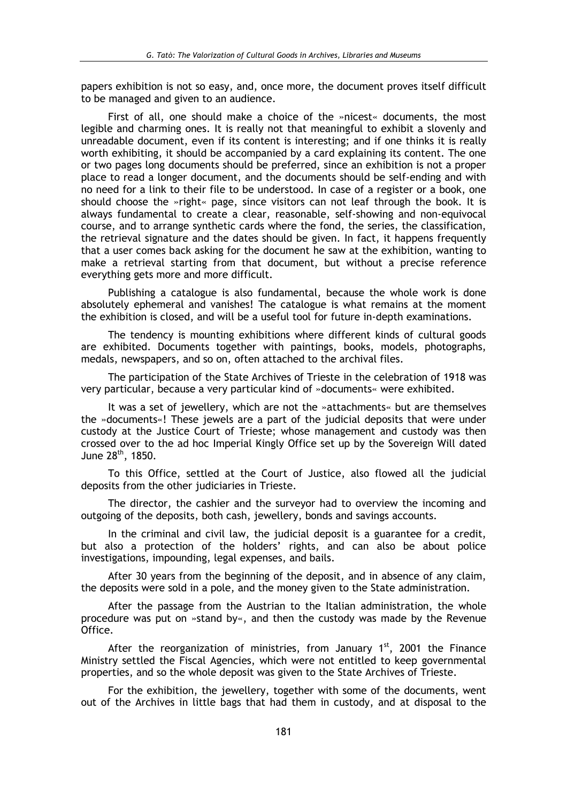papers exhibition is not so easy, and, once more, the document proves itself difficult to be managed and given to an audience.

First of all, one should make a choice of the »nicest« documents, the most legible and charming ones. It is really not that meaningful to exhibit a slovenly and unreadable document, even if its content is interesting; and if one thinks it is really worth exhibiting, it should be accompanied by a card explaining its content. The one or two pages long documents should be preferred, since an exhibition is not a proper place to read a longer document, and the documents should be self-ending and with no need for a link to their file to be understood. In case of a register or a book, one should choose the »right« page, since visitors can not leaf through the book. It is always fundamental to create a clear, reasonable, self-showing and non-equivocal course, and to arrange synthetic cards where the fond, the series, the classification, the retrieval signature and the dates should be given. In fact, it happens frequently that a user comes back asking for the document he saw at the exhibition, wanting to make a retrieval starting from that document, but without a precise reference everything gets more and more difficult.

Publishing a catalogue is also fundamental, because the whole work is done absolutely ephemeral and vanishes! The catalogue is what remains at the moment the exhibition is closed, and will be a useful tool for future in-depth examinations.

The tendency is mounting exhibitions where different kinds of cultural goods are exhibited. Documents together with paintings, books, models, photographs, medals, newspapers, and so on, often attached to the archival files.

The participation of the State Archives of Trieste in the celebration of 1918 was very particular, because a very particular kind of »documents« were exhibited.

It was a set of jewellery, which are not the »attachments« but are themselves the »documents«! These jewels are a part of the judicial deposits that were under custody at the Justice Court of Trieste; whose management and custody was then crossed over to the ad hoc Imperial Kingly Office set up by the Sovereign Will dated June 28<sup>th</sup>, 1850.

To this Office, settled at the Court of Justice, also flowed all the judicial deposits from the other judiciaries in Trieste.

The director, the cashier and the surveyor had to overview the incoming and outgoing of the deposits, both cash, jewellery, bonds and savings accounts.

In the criminal and civil law, the judicial deposit is a guarantee for a credit, but also a protection of the holders' rights, and can also be about police investigations, impounding, legal expenses, and bails.

After 30 years from the beginning of the deposit, and in absence of any claim, the deposits were sold in a pole, and the money given to the State administration.

After the passage from the Austrian to the Italian administration, the whole procedure was put on »stand by«, and then the custody was made by the Revenue Office.

After the reorganization of ministries, from January  $1<sup>st</sup>$ , 2001 the Finance Ministry settled the Fiscal Agencies, which were not entitled to keep governmental properties, and so the whole deposit was given to the State Archives of Trieste.

For the exhibition, the jewellery, together with some of the documents, went out of the Archives in little bags that had them in custody, and at disposal to the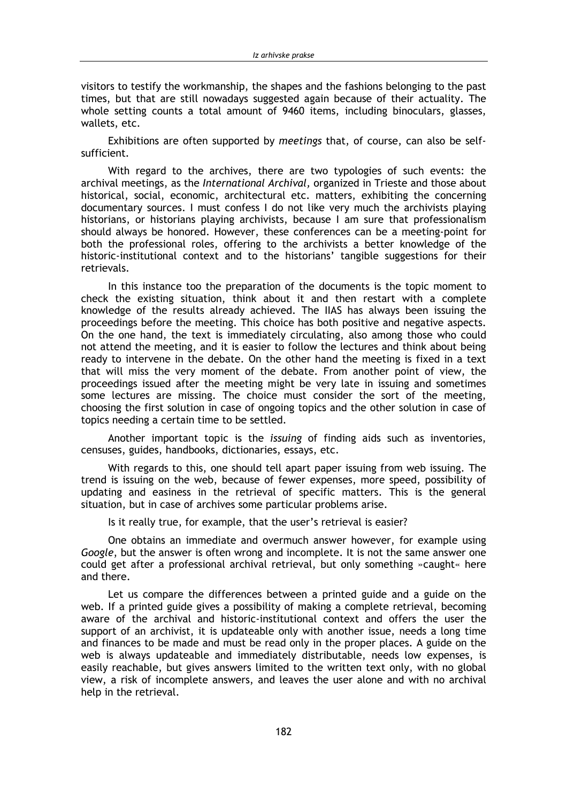visitors to testify the workmanship, the shapes and the fashions belonging to the past times, but that are still nowadays suggested again because of their actuality. The whole setting counts a total amount of 9460 items, including binoculars, glasses, wallets, etc.

Exhibitions are often supported by meetings that, of course, can also be selfsufficient.

With regard to the archives, there are two typologies of such events: the archival meetings, as the International Archival, organized in Trieste and those about historical, social, economic, architectural etc. matters, exhibiting the concerning documentary sources. I must confess I do not like very much the archivists playing historians, or historians playing archivists, because I am sure that professionalism should always be honored. However, these conferences can be a meeting-point for both the professional roles, offering to the archivists a better knowledge of the historic-institutional context and to the historians' tangible suggestions for their retrievals.

In this instance too the preparation of the documents is the topic moment to check the existing situation, think about it and then restart with a complete knowledge of the results already achieved. The IIAS has always been issuing the proceedings before the meeting. This choice has both positive and negative aspects. On the one hand, the text is immediately circulating, also among those who could not attend the meeting, and it is easier to follow the lectures and think about being ready to intervene in the debate. On the other hand the meeting is fixed in a text that will miss the very moment of the debate. From another point of view, the proceedings issued after the meeting might be very late in issuing and sometimes some lectures are missing. The choice must consider the sort of the meeting, choosing the first solution in case of ongoing topics and the other solution in case of topics needing a certain time to be settled.

Another important topic is the *issuing* of finding aids such as inventories, censuses, guides, handbooks, dictionaries, essays, etc.

With regards to this, one should tell apart paper issuing from web issuing. The trend is issuing on the web, because of fewer expenses, more speed, possibility of updating and easiness in the retrieval of specific matters. This is the general situation, but in case of archives some particular problems arise.

Is it really true, for example, that the user's retrieval is easier?

One obtains an immediate and overmuch answer however, for example using Google, but the answer is often wrong and incomplete. It is not the same answer one could get after a professional archival retrieval, but only something »caught« here and there.

Let us compare the differences between a printed guide and a guide on the web. If a printed guide gives a possibility of making a complete retrieval, becoming aware of the archival and historic-institutional context and offers the user the support of an archivist, it is updateable only with another issue, needs a long time and finances to be made and must be read only in the proper places. A guide on the web is always updateable and immediately distributable, needs low expenses, is easily reachable, but gives answers limited to the written text only, with no global view, a risk of incomplete answers, and leaves the user alone and with no archival help in the retrieval.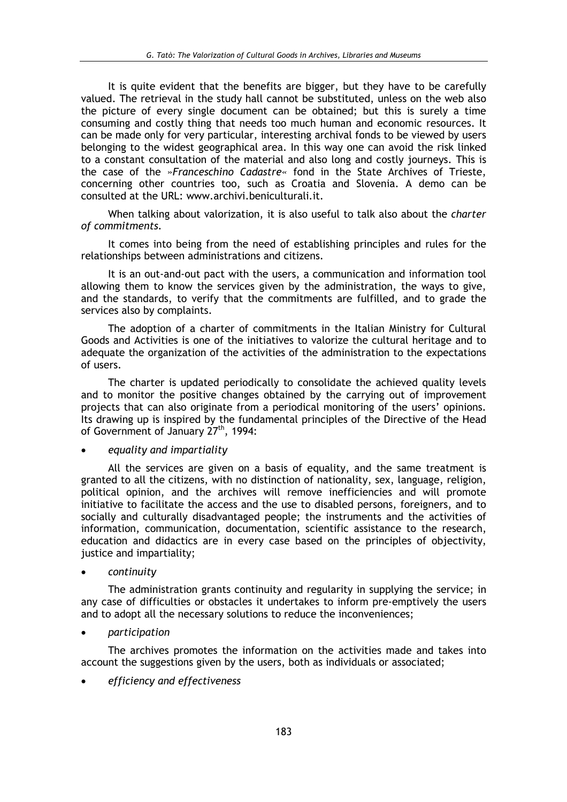It is quite evident that the benefits are bigger, but they have to be carefully valued. The retrieval in the study hall cannot be substituted, unless on the web also the picture of every single document can be obtained; but this is surely a time consuming and costly thing that needs too much human and economic resources. It can be made only for very particular, interesting archival fonds to be viewed by users belonging to the widest geographical area. In this way one can avoid the risk linked to a constant consultation of the material and also long and costly journeys. This is the case of the »Franceschino Cadastre« fond in the State Archives of Trieste, concerning other countries too, such as Croatia and Slovenia. A demo can be consulted at the URL: www.archivi.beniculturali.it.

When talking about valorization, it is also useful to talk also about the charter of commitments.

It comes into being from the need of establishing principles and rules for the relationships between administrations and citizens.

It is an out-and-out pact with the users, a communication and information tool allowing them to know the services given by the administration, the ways to give, and the standards, to verify that the commitments are fulfilled, and to grade the services also by complaints.

The adoption of a charter of commitments in the Italian Ministry for Cultural Goods and Activities is one of the initiatives to valorize the cultural heritage and to adequate the organization of the activities of the administration to the expectations of users.

The charter is updated periodically to consolidate the achieved quality levels and to monitor the positive changes obtained by the carrying out of improvement projects that can also originate from a periodical monitoring of the users' opinions. Its drawing up is inspired by the fundamental principles of the Directive of the Head of Government of January 27<sup>th</sup>, 1994:

### equality and impartiality

All the services are given on a basis of equality, and the same treatment is granted to all the citizens, with no distinction of nationality, sex, language, religion, political opinion, and the archives will remove inefficiencies and will promote initiative to facilitate the access and the use to disabled persons, foreigners, and to socially and culturally disadvantaged people; the instruments and the activities of information, communication, documentation, scientific assistance to the research, education and didactics are in every case based on the principles of objectivity, justice and impartiality;

continuity

The administration grants continuity and regularity in supplying the service; in any case of difficulties or obstacles it undertakes to inform pre-emptively the users and to adopt all the necessary solutions to reduce the inconveniences;

### participation

The archives promotes the information on the activities made and takes into account the suggestions given by the users, both as individuals or associated;

efficiency and effectiveness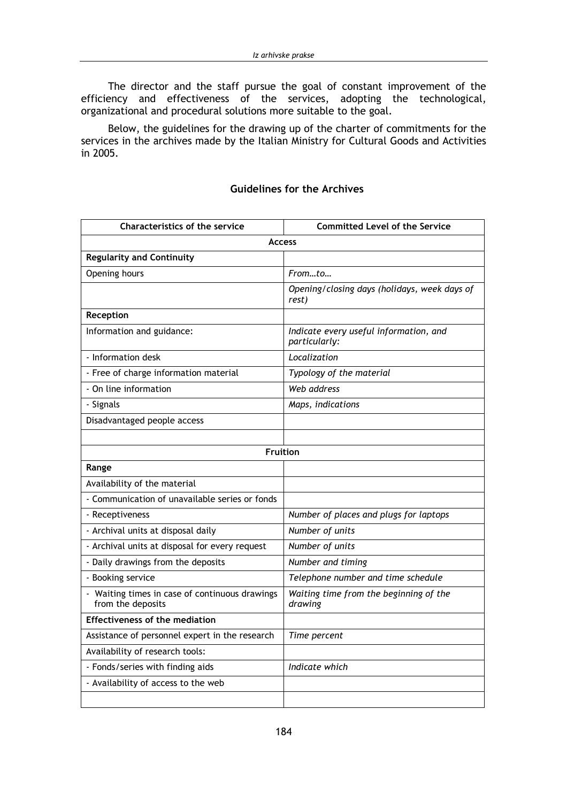The director and the staff pursue the goal of constant improvement of the efficiency and effectiveness of the services, adopting the technological, organizational and procedural solutions more suitable to the goal.

Below, the guidelines for the drawing up of the charter of commitments for the services in the archives made by the Italian Ministry for Cultural Goods and Activities in 2005.

| <b>Characteristics of the service</b>                             | <b>Committed Level of the Service</b>                   |
|-------------------------------------------------------------------|---------------------------------------------------------|
| <b>Access</b>                                                     |                                                         |
| <b>Regularity and Continuity</b>                                  |                                                         |
| Opening hours                                                     | Fromto                                                  |
|                                                                   | Opening/closing days (holidays, week days of<br>rest)   |
| Reception                                                         |                                                         |
| Information and guidance:                                         | Indicate every useful information, and<br>particularly: |
| - Information desk                                                | Localization                                            |
| - Free of charge information material                             | Typology of the material                                |
| - On line information                                             | Web address                                             |
| - Signals                                                         | Maps, indications                                       |
| Disadvantaged people access                                       |                                                         |
|                                                                   |                                                         |
| Fruition                                                          |                                                         |
| Range                                                             |                                                         |
| Availability of the material                                      |                                                         |
| - Communication of unavailable series or fonds                    |                                                         |
| - Receptiveness                                                   | Number of places and plugs for laptops                  |
| - Archival units at disposal daily                                | Number of units                                         |
| - Archival units at disposal for every request                    | Number of units                                         |
| - Daily drawings from the deposits                                | Number and timing                                       |
| - Booking service                                                 | Telephone number and time schedule                      |
| Waiting times in case of continuous drawings<br>from the deposits | Waiting time from the beginning of the<br>drawing       |
| <b>Effectiveness of the mediation</b>                             |                                                         |
| Assistance of personnel expert in the research                    | Time percent                                            |
| Availability of research tools:                                   |                                                         |
| - Fonds/series with finding aids                                  | Indicate which                                          |
| - Availability of access to the web                               |                                                         |
|                                                                   |                                                         |

## **Guidelines for the Archives**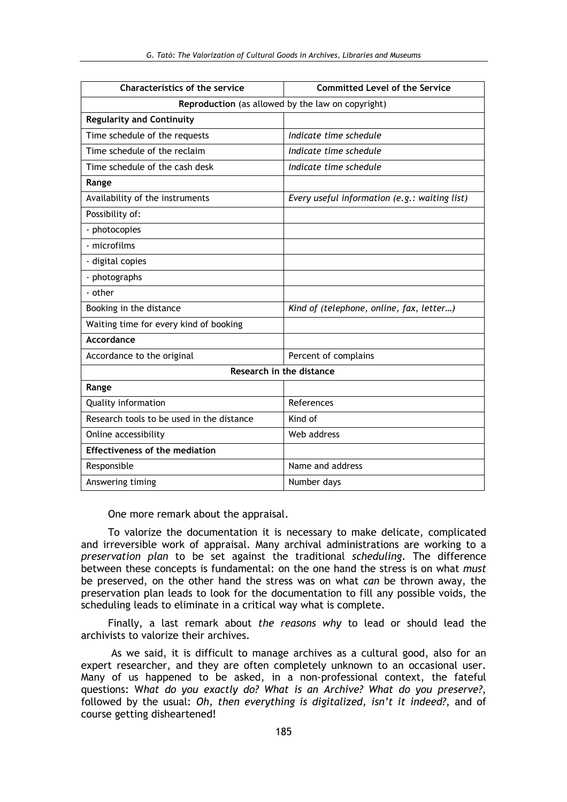| <b>Characteristics of the service</b>             | <b>Committed Level of the Service</b>         |
|---------------------------------------------------|-----------------------------------------------|
| Reproduction (as allowed by the law on copyright) |                                               |
| <b>Regularity and Continuity</b>                  |                                               |
| Time schedule of the requests                     | Indicate time schedule                        |
| Time schedule of the reclaim                      | Indicate time schedule                        |
| Time schedule of the cash desk                    | Indicate time schedule                        |
| Range                                             |                                               |
| Availability of the instruments                   | Every useful information (e.g.: waiting list) |
| Possibility of:                                   |                                               |
| - photocopies                                     |                                               |
| - microfilms                                      |                                               |
| - digital copies                                  |                                               |
| - photographs                                     |                                               |
| - other                                           |                                               |
| Booking in the distance                           | Kind of (telephone, online, fax, letter)      |
| Waiting time for every kind of booking            |                                               |
| Accordance                                        |                                               |
| Accordance to the original                        | Percent of complains                          |
| Research in the distance                          |                                               |
| Range                                             |                                               |
| <b>Quality information</b>                        | References                                    |
| Research tools to be used in the distance         | Kind of                                       |
| Online accessibility                              | Web address                                   |
| <b>Effectiveness of the mediation</b>             |                                               |
| Responsible                                       | Name and address                              |
| Answering timing                                  | Number days                                   |

One more remark about the appraisal.

To valorize the documentation it is necessary to make delicate, complicated and irreversible work of appraisal. Many archival administrations are working to a preservation plan to be set against the traditional scheduling. The difference between these concepts is fundamental: on the one hand the stress is on what *must* be preserved, on the other hand the stress was on what can be thrown away, the preservation plan leads to look for the documentation to fill any possible voids, the scheduling leads to eliminate in a critical way what is complete.

Finally, a last remark about the reasons why to lead or should lead the archivists to valorize their archives.

As we said, it is difficult to manage archives as a cultural good, also for an expert researcher, and they are often completely unknown to an occasional user. Many of us happened to be asked, in a non-professional context, the fateful questions: What do you exactly do? What is an Archive? What do you preserve?, followed by the usual: Oh, then everything is digitalized, isn't it indeed?, and of course getting disheartened!